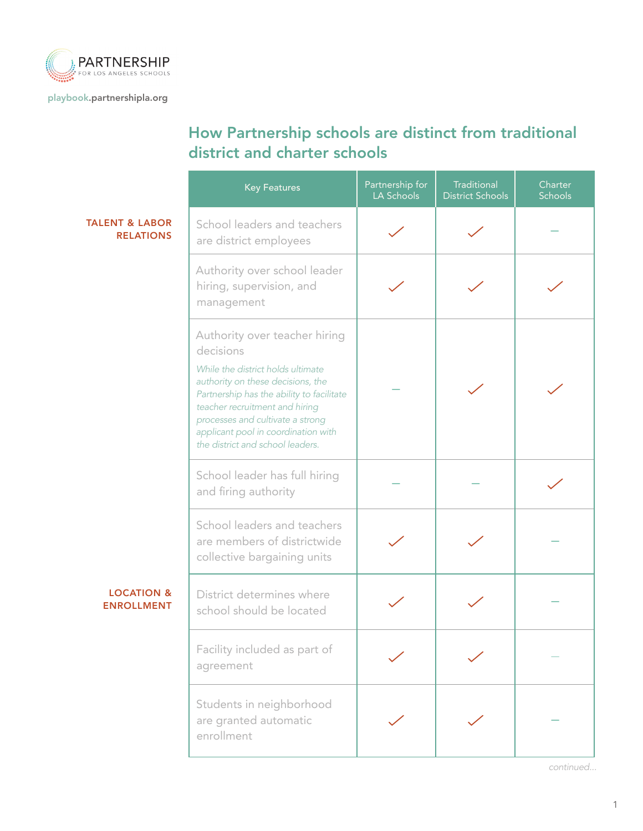

[playbook.partnershipla.org](http://playbook.partnershipla.org)

## How Partnership schools are distinct from traditional district and charter schools

|                                                                                                        | Partnership for<br><b>Key Features</b><br>LA Schools                                                                                                                                                                                                                                                               |  | Traditional<br><b>District Schools</b> | Charter<br><b>Schools</b> |
|--------------------------------------------------------------------------------------------------------|--------------------------------------------------------------------------------------------------------------------------------------------------------------------------------------------------------------------------------------------------------------------------------------------------------------------|--|----------------------------------------|---------------------------|
| <b>TALENT &amp; LABOR</b><br>School leaders and teachers<br><b>RELATIONS</b><br>are district employees |                                                                                                                                                                                                                                                                                                                    |  |                                        |                           |
|                                                                                                        | Authority over school leader<br>hiring, supervision, and<br>management                                                                                                                                                                                                                                             |  |                                        |                           |
|                                                                                                        | Authority over teacher hiring<br>decisions<br>While the district holds ultimate<br>authority on these decisions, the<br>Partnership has the ability to facilitate<br>teacher recruitment and hiring<br>processes and cultivate a strong<br>applicant pool in coordination with<br>the district and school leaders. |  |                                        |                           |
| School leader has full hiring<br>and firing authority                                                  |                                                                                                                                                                                                                                                                                                                    |  |                                        |                           |
|                                                                                                        | School leaders and teachers<br>are members of districtwide<br>collective bargaining units                                                                                                                                                                                                                          |  |                                        |                           |
| <b>LOCATION &amp;</b><br><b>ENROLLMENT</b>                                                             | District determines where<br>school should be located                                                                                                                                                                                                                                                              |  |                                        |                           |
|                                                                                                        | Facility included as part of<br>agreement                                                                                                                                                                                                                                                                          |  |                                        |                           |
|                                                                                                        | Students in neighborhood<br>are granted automatic<br>enrollment                                                                                                                                                                                                                                                    |  |                                        |                           |

*continued...*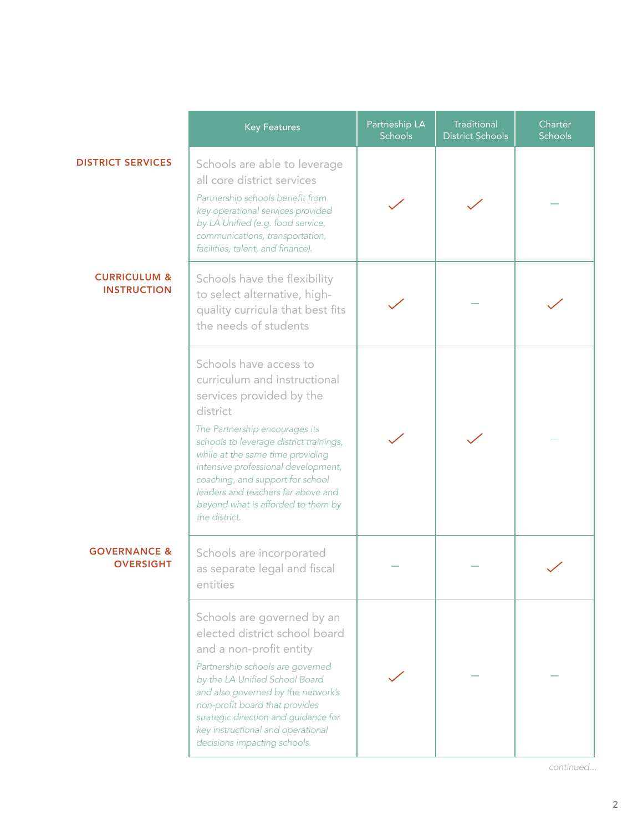|                                               | <b>Key Features</b>                                                                                                                                                                                                                                                                                                                                                                     | Partneship LA<br><b>Schools</b> | Traditional<br><b>District Schools</b> | Charter<br>Schools |
|-----------------------------------------------|-----------------------------------------------------------------------------------------------------------------------------------------------------------------------------------------------------------------------------------------------------------------------------------------------------------------------------------------------------------------------------------------|---------------------------------|----------------------------------------|--------------------|
| <b>DISTRICT SERVICES</b>                      | Schools are able to leverage<br>all core district services<br>Partnership schools benefit from<br>key operational services provided<br>by LA Unified (e.g. food service,<br>communications, transportation,<br>facilities, talent, and finance).                                                                                                                                        |                                 |                                        |                    |
| <b>CURRICULUM &amp;</b><br><b>INSTRUCTION</b> | Schools have the flexibility<br>to select alternative, high-<br>quality curricula that best fits<br>the needs of students                                                                                                                                                                                                                                                               |                                 |                                        |                    |
|                                               | Schools have access to<br>curriculum and instructional<br>services provided by the<br>district<br>The Partnership encourages its<br>schools to leverage district trainings,<br>while at the same time providing<br>intensive professional development,<br>coaching, and support for school<br>leaders and teachers far above and<br>beyond what is afforded to them by<br>the district. |                                 |                                        |                    |
| <b>GOVERNANCE &amp;</b><br><b>OVERSIGHT</b>   | Schools are incorporated<br>as separate legal and fiscal<br>entities                                                                                                                                                                                                                                                                                                                    |                                 |                                        |                    |
|                                               | Schools are governed by an<br>elected district school board<br>and a non-profit entity<br>Partnership schools are governed<br>by the LA Unified School Board<br>and also governed by the network's<br>non-profit board that provides<br>strategic direction and guidance for<br>key instructional and operational<br>decisions impacting schools.                                       |                                 |                                        |                    |

*continued...*